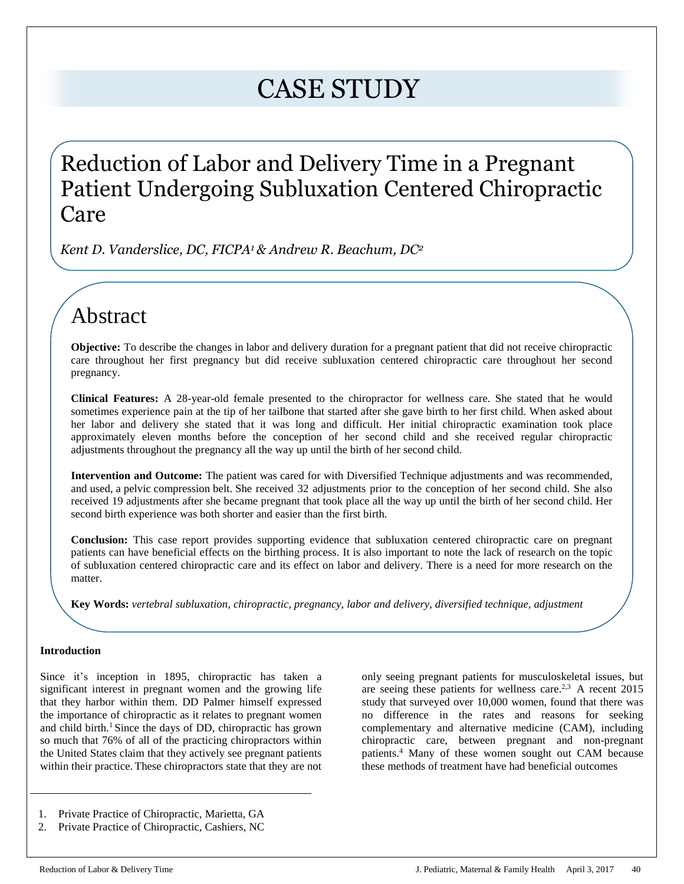# CASE STUDY

# Reduction of Labor and Delivery Time in a Pregnant Patient Undergoing Subluxation Centered Chiropractic Care

*Kent D. Vanderslice, DC, FICPA<sup>1</sup> & Andrew R. Beachum, DC<sup>2</sup>*

## Abstract

**Objective:** To describe the changes in labor and delivery duration for a pregnant patient that did not receive chiropractic care throughout her first pregnancy but did receive subluxation centered chiropractic care throughout her second pregnancy.

**Clinical Features:** A 28-year-old female presented to the chiropractor for wellness care. She stated that he would sometimes experience pain at the tip of her tailbone that started after she gave birth to her first child. When asked about her labor and delivery she stated that it was long and difficult. Her initial chiropractic examination took place approximately eleven months before the conception of her second child and she received regular chiropractic adjustments throughout the pregnancy all the way up until the birth of her second child.

**Intervention and Outcome:** The patient was cared for with Diversified Technique adjustments and was recommended, and used, a pelvic compression belt. She received 32 adjustments prior to the conception of her second child. She also received 19 adjustments after she became pregnant that took place all the way up until the birth of her second child. Her second birth experience was both shorter and easier than the first birth.

**Conclusion:** This case report provides supporting evidence that subluxation centered chiropractic care on pregnant patients can have beneficial effects on the birthing process. It is also important to note the lack of research on the topic of subluxation centered chiropractic care and its effect on labor and delivery. There is a need for more research on the matter.

**Key Words:** *vertebral subluxation, chiropractic, pregnancy, labor and delivery, diversified technique, adjustment*

### **Introduction**

Since it's inception in 1895, chiropractic has taken a significant interest in pregnant women and the growing life that they harbor within them. DD Palmer himself expressed the importance of chiropractic as it relates to pregnant women and child birth.<sup>1</sup> Since the days of DD, chiropractic has grown so much that 76% of all of the practicing chiropractors within the United States claim that they actively see pregnant patients within their practice. These chiropractors state that they are not

only seeing pregnant patients for musculoskeletal issues, but are seeing these patients for wellness care.<sup>2,3</sup> A recent 2015 study that surveyed over 10,000 women, found that there was no difference in the rates and reasons for seeking complementary and alternative medicine (CAM), including chiropractic care, between pregnant and non-pregnant patients.<sup>4</sup> Many of these women sought out CAM because these methods of treatment have had beneficial outcomes

<sup>1.</sup> Private Practice of Chiropractic, Marietta, GA

<sup>2.</sup> Private Practice of Chiropractic, Cashiers, NC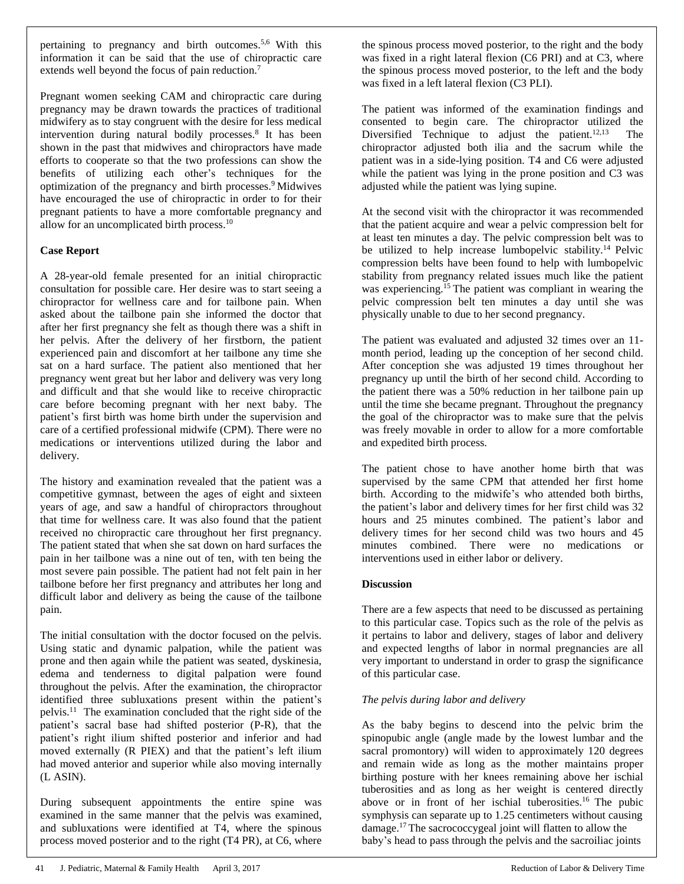pertaining to pregnancy and birth outcomes.5,6 With this information it can be said that the use of chiropractic care extends well beyond the focus of pain reduction.<sup>7</sup>

Pregnant women seeking CAM and chiropractic care during pregnancy may be drawn towards the practices of traditional midwifery as to stay congruent with the desire for less medical intervention during natural bodily processes.<sup>8</sup> It has been shown in the past that midwives and chiropractors have made efforts to cooperate so that the two professions can show the benefits of utilizing each other's techniques for the optimization of the pregnancy and birth processes.<sup>9</sup> Midwives have encouraged the use of chiropractic in order to for their pregnant patients to have a more comfortable pregnancy and allow for an uncomplicated birth process. 10

### **Case Report**

A 28-year-old female presented for an initial chiropractic consultation for possible care. Her desire was to start seeing a chiropractor for wellness care and for tailbone pain. When asked about the tailbone pain she informed the doctor that after her first pregnancy she felt as though there was a shift in her pelvis. After the delivery of her firstborn, the patient experienced pain and discomfort at her tailbone any time she sat on a hard surface. The patient also mentioned that her pregnancy went great but her labor and delivery was very long and difficult and that she would like to receive chiropractic care before becoming pregnant with her next baby. The patient's first birth was home birth under the supervision and care of a certified professional midwife (CPM). There were no medications or interventions utilized during the labor and delivery.

The history and examination revealed that the patient was a competitive gymnast, between the ages of eight and sixteen years of age, and saw a handful of chiropractors throughout that time for wellness care. It was also found that the patient received no chiropractic care throughout her first pregnancy. The patient stated that when she sat down on hard surfaces the pain in her tailbone was a nine out of ten, with ten being the most severe pain possible. The patient had not felt pain in her tailbone before her first pregnancy and attributes her long and difficult labor and delivery as being the cause of the tailbone pain.

The initial consultation with the doctor focused on the pelvis. Using static and dynamic palpation, while the patient was prone and then again while the patient was seated, dyskinesia, edema and tenderness to digital palpation were found throughout the pelvis. After the examination, the chiropractor identified three subluxations present within the patient's pelvis.<sup>11</sup> The examination concluded that the right side of the patient's sacral base had shifted posterior (P-R), that the patient's right ilium shifted posterior and inferior and had moved externally (R PIEX) and that the patient's left ilium had moved anterior and superior while also moving internally (L ASIN).

During subsequent appointments the entire spine was examined in the same manner that the pelvis was examined, and subluxations were identified at T4, where the spinous process moved posterior and to the right (T4 PR), at C6, where the spinous process moved posterior, to the right and the body was fixed in a right lateral flexion (C6 PRI) and at C3, where the spinous process moved posterior, to the left and the body was fixed in a left lateral flexion (C3 PLI).

The patient was informed of the examination findings and consented to begin care. The chiropractor utilized the Diversified Technique to adjust the patient.<sup>12,13</sup> The chiropractor adjusted both ilia and the sacrum while the patient was in a side-lying position. T4 and C6 were adjusted while the patient was lying in the prone position and C3 was adjusted while the patient was lying supine.

At the second visit with the chiropractor it was recommended that the patient acquire and wear a pelvic compression belt for at least ten minutes a day. The pelvic compression belt was to be utilized to help increase lumbopelvic stability.<sup>14</sup> Pelvic compression belts have been found to help with lumbopelvic stability from pregnancy related issues much like the patient was experiencing.<sup>15</sup> The patient was compliant in wearing the pelvic compression belt ten minutes a day until she was physically unable to due to her second pregnancy.

The patient was evaluated and adjusted 32 times over an 11 month period, leading up the conception of her second child. After conception she was adjusted 19 times throughout her pregnancy up until the birth of her second child. According to the patient there was a 50% reduction in her tailbone pain up until the time she became pregnant. Throughout the pregnancy the goal of the chiropractor was to make sure that the pelvis was freely movable in order to allow for a more comfortable and expedited birth process.

The patient chose to have another home birth that was supervised by the same CPM that attended her first home birth. According to the midwife's who attended both births, the patient's labor and delivery times for her first child was 32 hours and 25 minutes combined. The patient's labor and delivery times for her second child was two hours and 45 minutes combined. There were no medications or interventions used in either labor or delivery.

#### **Discussion**

There are a few aspects that need to be discussed as pertaining to this particular case. Topics such as the role of the pelvis as it pertains to labor and delivery, stages of labor and delivery and expected lengths of labor in normal pregnancies are all very important to understand in order to grasp the significance of this particular case.

#### *The pelvis during labor and delivery*

As the baby begins to descend into the pelvic brim the spinopubic angle (angle made by the lowest lumbar and the sacral promontory) will widen to approximately 120 degrees and remain wide as long as the mother maintains proper birthing posture with her knees remaining above her ischial tuberosities and as long as her weight is centered directly above or in front of her ischial tuberosities.<sup>16</sup> The pubic symphysis can separate up to 1.25 centimeters without causing damage.<sup>17</sup> The sacrococcygeal joint will flatten to allow the baby's head to pass through the pelvis and the sacroiliac joints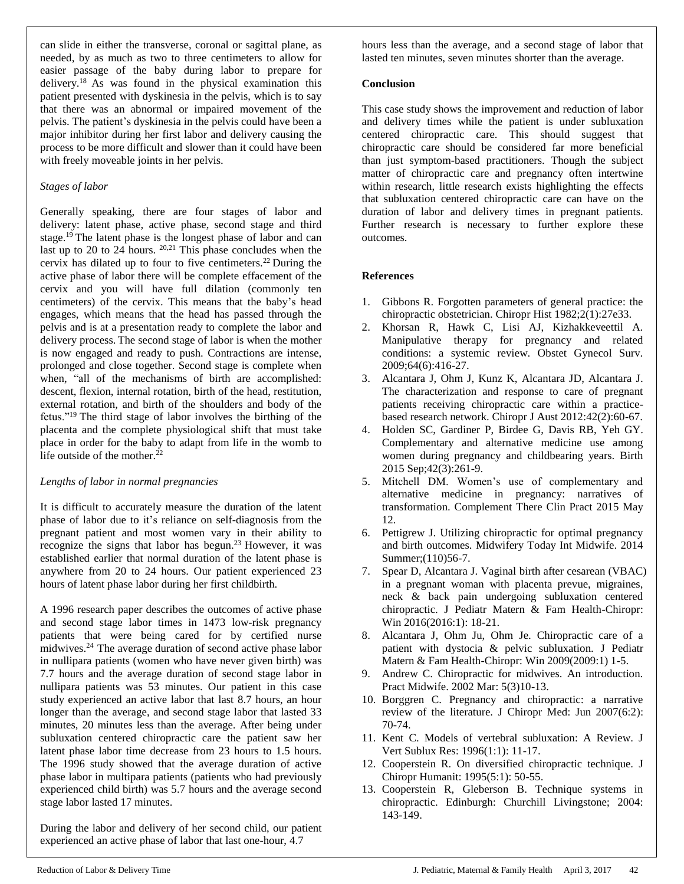can slide in either the transverse, coronal or sagittal plane, as needed, by as much as two to three centimeters to allow for easier passage of the baby during labor to prepare for delivery.<sup>18</sup> As was found in the physical examination this patient presented with dyskinesia in the pelvis, which is to say that there was an abnormal or impaired movement of the pelvis. The patient's dyskinesia in the pelvis could have been a major inhibitor during her first labor and delivery causing the process to be more difficult and slower than it could have been with freely moveable joints in her pelvis.

#### *Stages of labor*

Generally speaking, there are four stages of labor and delivery: latent phase, active phase, second stage and third stage.<sup>19</sup> The latent phase is the longest phase of labor and can last up to 20 to 24 hours.  $20,21$  This phase concludes when the cervix has dilated up to four to five centimeters.<sup>22</sup> During the active phase of labor there will be complete effacement of the cervix and you will have full dilation (commonly ten centimeters) of the cervix. This means that the baby's head engages, which means that the head has passed through the pelvis and is at a presentation ready to complete the labor and delivery process. The second stage of labor is when the mother is now engaged and ready to push. Contractions are intense, prolonged and close together. Second stage is complete when when, "all of the mechanisms of birth are accomplished: descent, flexion, internal rotation, birth of the head, restitution, external rotation, and birth of the shoulders and body of the fetus."<sup>19</sup> The third stage of labor involves the birthing of the placenta and the complete physiological shift that must take place in order for the baby to adapt from life in the womb to life outside of the mother. $^{22}$ 

#### *Lengths of labor in normal pregnancies*

It is difficult to accurately measure the duration of the latent phase of labor due to it's reliance on self-diagnosis from the pregnant patient and most women vary in their ability to recognize the signs that labor has begun.<sup>23</sup> However, it was established earlier that normal duration of the latent phase is anywhere from 20 to 24 hours. Our patient experienced 23 hours of latent phase labor during her first childbirth.

A 1996 research paper describes the outcomes of active phase and second stage labor times in 1473 low-risk pregnancy patients that were being cared for by certified nurse midwives.<sup>24</sup> The average duration of second active phase labor in nullipara patients (women who have never given birth) was 7.7 hours and the average duration of second stage labor in nullipara patients was 53 minutes. Our patient in this case study experienced an active labor that last 8.7 hours, an hour longer than the average, and second stage labor that lasted 33 minutes, 20 minutes less than the average. After being under subluxation centered chiropractic care the patient saw her latent phase labor time decrease from 23 hours to 1.5 hours. The 1996 study showed that the average duration of active phase labor in multipara patients (patients who had previously experienced child birth) was 5.7 hours and the average second stage labor lasted 17 minutes.

During the labor and delivery of her second child, our patient experienced an active phase of labor that last one-hour, 4.7

hours less than the average, and a second stage of labor that lasted ten minutes, seven minutes shorter than the average.

#### **Conclusion**

This case study shows the improvement and reduction of labor and delivery times while the patient is under subluxation centered chiropractic care. This should suggest that chiropractic care should be considered far more beneficial than just symptom-based practitioners. Though the subject matter of chiropractic care and pregnancy often intertwine within research, little research exists highlighting the effects that subluxation centered chiropractic care can have on the duration of labor and delivery times in pregnant patients. Further research is necessary to further explore these outcomes.

#### **References**

- 1. Gibbons R. Forgotten parameters of general practice: the chiropractic obstetrician. Chiropr Hist 1982;2(1):27e33.
- 2. Khorsan R, Hawk C, Lisi AJ, Kizhakkeveettil A. Manipulative therapy for pregnancy and related conditions: a systemic review. Obstet Gynecol Surv. 2009;64(6):416-27.
- 3. Alcantara J, Ohm J, Kunz K, Alcantara JD, Alcantara J. The characterization and response to care of pregnant patients receiving chiropractic care within a practicebased research network. Chiropr J Aust 2012:42(2):60-67.
- 4. Holden SC, Gardiner P, Birdee G, Davis RB, Yeh GY. Complementary and alternative medicine use among women during pregnancy and childbearing years. Birth 2015 Sep;42(3):261-9.
- 5. Mitchell DM. Women's use of complementary and alternative medicine in pregnancy: narratives of transformation. Complement There Clin Pract 2015 May 12.
- 6. Pettigrew J. Utilizing chiropractic for optimal pregnancy and birth outcomes. Midwifery Today Int Midwife. 2014 Summer;(110)56-7.
- 7. Spear D, Alcantara J. Vaginal birth after cesarean (VBAC) in a pregnant woman with placenta prevue, migraines, neck & back pain undergoing subluxation centered chiropractic. J Pediatr Matern & Fam Health-Chiropr: Win 2016(2016:1): 18-21.
- 8. Alcantara J, Ohm Ju, Ohm Je. Chiropractic care of a patient with dystocia & pelvic subluxation. J Pediatr Matern & Fam Health-Chiropr: Win 2009(2009:1) 1-5.
- 9. Andrew C. Chiropractic for midwives. An introduction. Pract Midwife. 2002 Mar: 5(3)10-13.
- 10. Borggren C. Pregnancy and chiropractic: a narrative review of the literature. J Chiropr Med: Jun 2007(6:2): 70-74.
- 11. Kent C. Models of vertebral subluxation: A Review. J Vert Sublux Res: 1996(1:1): 11-17.
- 12. Cooperstein R. On diversified chiropractic technique. J Chiropr Humanit: 1995(5:1): 50-55.
- 13. Cooperstein R, Gleberson B. Technique systems in chiropractic. Edinburgh: Churchill Livingstone; 2004: 143-149.